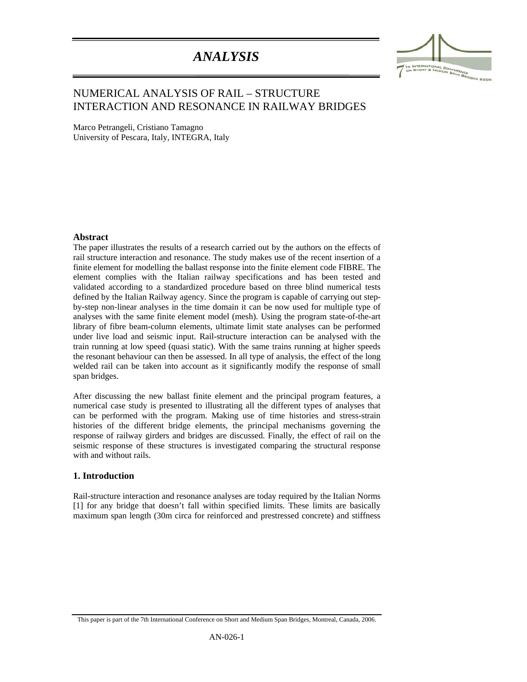# *ANALYSIS*



## NUMERICAL ANALYSIS OF RAIL – STRUCTURE INTERACTION AND RESONANCE IN RAILWAY BRIDGES

Marco Petrangeli, Cristiano Tamagno University of Pescara, Italy, INTEGRA, Italy

#### **Abstract**

:

The paper illustrates the results of a research carried out by the authors on the effects of rail structure interaction and resonance. The study makes use of the recent insertion of a finite element for modelling the ballast response into the finite element code FIBRE. The element complies with the Italian railway specifications and has been tested and validated according to a standardized procedure based on three blind numerical tests defined by the Italian Railway agency. Since the program is capable of carrying out stepby-step non-linear analyses in the time domain it can be now used for multiple type of analyses with the same finite element model (mesh). Using the program state-of-the-art library of fibre beam-column elements, ultimate limit state analyses can be performed under live load and seismic input. Rail-structure interaction can be analysed with the train running at low speed (quasi static). With the same trains running at higher speeds the resonant behaviour can then be assessed. In all type of analysis, the effect of the long welded rail can be taken into account as it significantly modify the response of small span bridges.

After discussing the new ballast finite element and the principal program features, a numerical case study is presented to illustrating all the different types of analyses that can be performed with the program. Making use of time histories and stress-strain histories of the different bridge elements, the principal mechanisms governing the response of railway girders and bridges are discussed. Finally, the effect of rail on the seismic response of these structures is investigated comparing the structural response with and without rails.

#### **1. Introduction**

Rail-structure interaction and resonance analyses are today required by the Italian Norms [1] for any bridge that doesn't fall within specified limits. These limits are basically maximum span length (30m circa for reinforced and prestressed concrete) and stiffness

This paper is part of the 7th International Conference on Short and Medium Span Bridges, Montreal, Canada, 2006.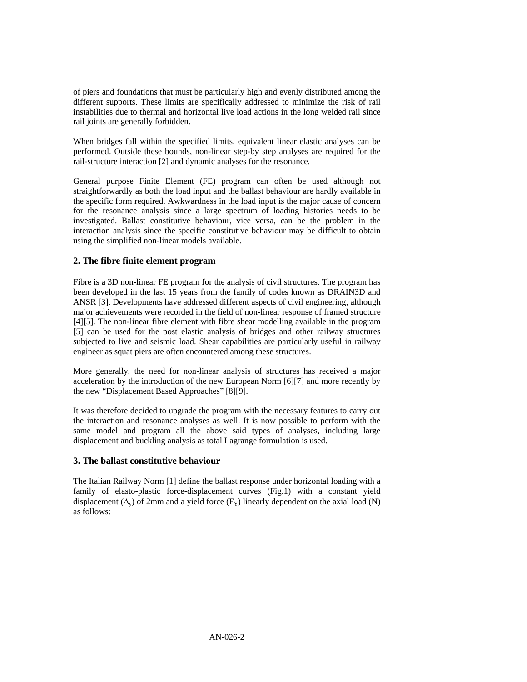of piers and foundations that must be particularly high and evenly distributed among the different supports. These limits are specifically addressed to minimize the risk of rail instabilities due to thermal and horizontal live load actions in the long welded rail since rail joints are generally forbidden.

When bridges fall within the specified limits, equivalent linear elastic analyses can be performed. Outside these bounds, non-linear step-by step analyses are required for the rail-structure interaction [2] and dynamic analyses for the resonance.

General purpose Finite Element (FE) program can often be used although not straightforwardly as both the load input and the ballast behaviour are hardly available in the specific form required. Awkwardness in the load input is the major cause of concern for the resonance analysis since a large spectrum of loading histories needs to be investigated. Ballast constitutive behaviour, vice versa, can be the problem in the interaction analysis since the specific constitutive behaviour may be difficult to obtain using the simplified non-linear models available.

## **2. The fibre finite element program**

Fibre is a 3D non-linear FE program for the analysis of civil structures. The program has been developed in the last 15 years from the family of codes known as DRAIN3D and ANSR [3]. Developments have addressed different aspects of civil engineering, although major achievements were recorded in the field of non-linear response of framed structure [4][5]. The non-linear fibre element with fibre shear modelling available in the program [5] can be used for the post elastic analysis of bridges and other railway structures subjected to live and seismic load. Shear capabilities are particularly useful in railway engineer as squat piers are often encountered among these structures.

More generally, the need for non-linear analysis of structures has received a major acceleration by the introduction of the new European Norm [6][7] and more recently by the new "Displacement Based Approaches" [8][9].

It was therefore decided to upgrade the program with the necessary features to carry out the interaction and resonance analyses as well. It is now possible to perform with the same model and program all the above said types of analyses, including large displacement and buckling analysis as total Lagrange formulation is used.

## **3. The ballast constitutive behaviour**

The Italian Railway Norm [1] define the ballast response under horizontal loading with a family of elasto-plastic force-displacement curves (Fig.1) with a constant yield displacement  $(\Delta_v)$  of 2mm and a yield force  $(F_v)$  linearly dependent on the axial load (N) as follows: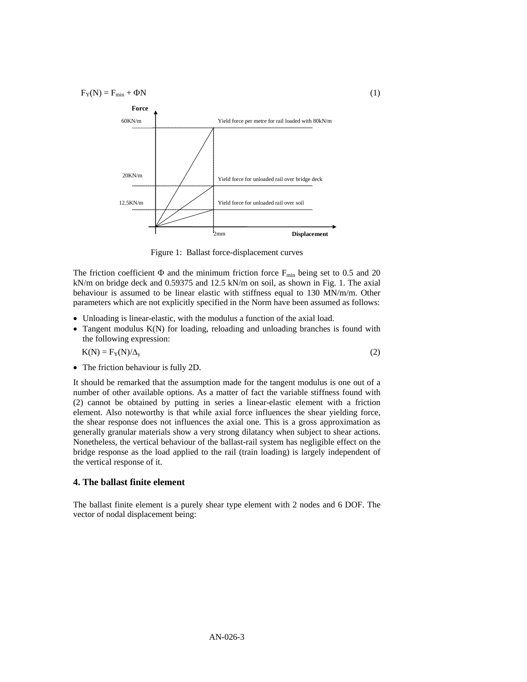$F_Y(N) = F_{min} + \Phi N$  (1)



Figure 1: Ballast force-displacement curves

The friction coefficient  $\Phi$  and the minimum friction force  $F_{min}$  being set to 0.5 and 20 kN/m on bridge deck and 0.59375 and 12.5 kN/m on soil, as shown in Fig. 1. The axial behaviour is assumed to be linear elastic with stiffness equal to 130 MN/m/m. Other parameters which are not explicitly specified in the Norm have been assumed as follows:

- Unloading is linear-elastic, with the modulus a function of the axial load.
- Tangent modulus K(N) for loading, reloading and unloading branches is found with the following expression:

$$
K(N) = F_Y(N)/\Delta_y
$$
 (2)

• The friction behaviour is fully 2D.

It should be remarked that the assumption made for the tangent modulus is one out of a number of other available options. As a matter of fact the variable stiffness found with (2) cannot be obtained by putting in series a linear-elastic element with a friction element. Also noteworthy is that while axial force influences the shear yielding force, the shear response does not influences the axial one. This is a gross approximation as generally granular materials show a very strong dilatancy when subject to shear actions. Nonetheless, the vertical behaviour of the ballast-rail system has negligible effect on the bridge response as the load applied to the rail (train loading) is largely independent of the vertical response of it.

## **4. The ballast finite element**

The ballast finite element is a purely shear type element with 2 nodes and 6 DOF. The vector of nodal displacement being: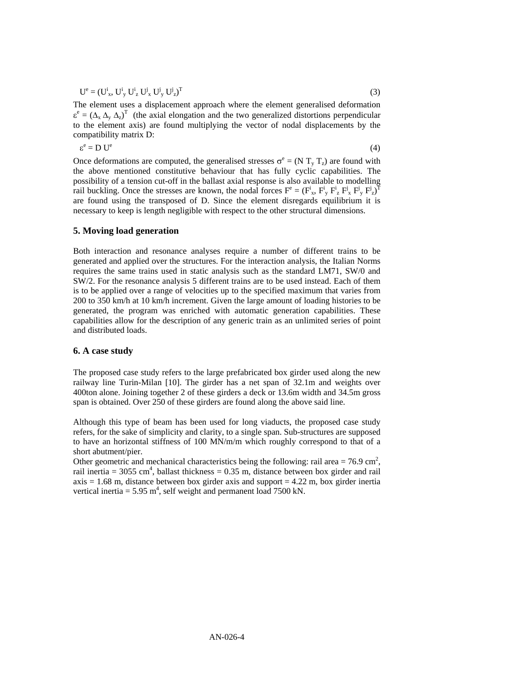$$
U^{e} = (U^{i}_{x}, U^{i}_{y} U^{i}_{z} U^{j}_{x} U^{j}_{y} U^{j}_{z})^{T}
$$
\n(3)

The element uses a displacement approach where the element generalised deformation  $\epsilon^e = (\Delta_x \Delta_y \Delta_z)^T$  (the axial elongation and the two generalized distortions perpendicular to the element axis) are found multiplying the vector of nodal displacements by the compatibility matrix D:

$$
\varepsilon^{\rm e} = D \, U^{\rm e} \tag{4}
$$

Once deformations are computed, the generalised stresses  $\sigma^e = (N T_y T_z)$  are found with the above mentioned constitutive behaviour that has fully cyclic capabilities. The possibility of a tension cut-off in the ballast axial response is also available to modelling rail buckling. Once the stresses are known, the nodal forces  $F^e = (F^i_x, F^i_y, F^i_z, F^j_y, F^i_z)^T$ are found using the transposed of D. Since the element disregards equilibrium it is necessary to keep is length negligible with respect to the other structural dimensions.

#### **5. Moving load generation**

Both interaction and resonance analyses require a number of different trains to be generated and applied over the structures. For the interaction analysis, the Italian Norms requires the same trains used in static analysis such as the standard LM71, SW/0 and SW/2. For the resonance analysis 5 different trains are to be used instead. Each of them is to be applied over a range of velocities up to the specified maximum that varies from 200 to 350 km/h at 10 km/h increment. Given the large amount of loading histories to be generated, the program was enriched with automatic generation capabilities. These capabilities allow for the description of any generic train as an unlimited series of point and distributed loads.

#### **6. A case study**

The proposed case study refers to the large prefabricated box girder used along the new railway line Turin-Milan [10]. The girder has a net span of 32.1m and weights over 400ton alone. Joining together 2 of these girders a deck or 13.6m width and 34.5m gross span is obtained. Over 250 of these girders are found along the above said line.

Although this type of beam has been used for long viaducts, the proposed case study refers, for the sake of simplicity and clarity, to a single span. Sub-structures are supposed to have an horizontal stiffness of 100 MN/m/m which roughly correspond to that of a short abutment/pier.

Other geometric and mechanical characteristics being the following: rail area =  $76.9 \text{ cm}^2$ , rail inertia =  $3055 \text{ cm}^4$ , ballast thickness = 0.35 m, distance between box girder and rail  $axis = 1.68$  m, distance between box girder axis and support  $= 4.22$  m, box girder inertia vertical inertia =  $5.95 \text{ m}^4$ , self weight and permanent load 7500 kN.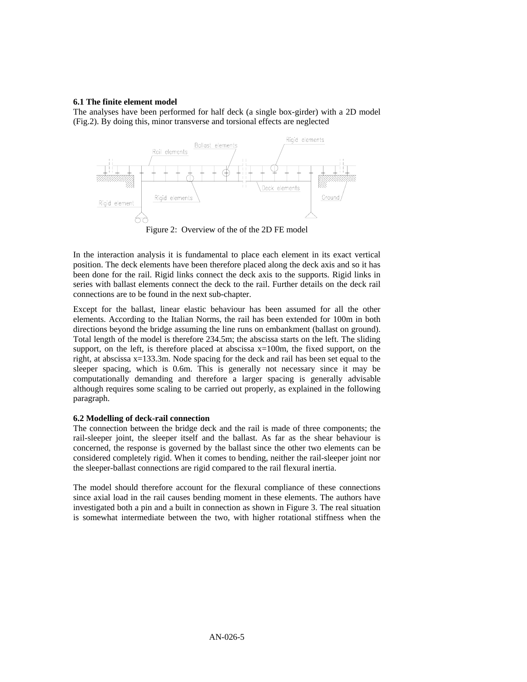#### **6.1 The finite element model**

The analyses have been performed for half deck (a single box-girder) with a 2D model (Fig.2). By doing this, minor transverse and torsional effects are neglected



Figure 2: Overview of the of the 2D FE model

In the interaction analysis it is fundamental to place each element in its exact vertical position. The deck elements have been therefore placed along the deck axis and so it has been done for the rail. Rigid links connect the deck axis to the supports. Rigid links in series with ballast elements connect the deck to the rail. Further details on the deck rail connections are to be found in the next sub-chapter.

Except for the ballast, linear elastic behaviour has been assumed for all the other elements. According to the Italian Norms, the rail has been extended for 100m in both directions beyond the bridge assuming the line runs on embankment (ballast on ground). Total length of the model is therefore 234.5m; the abscissa starts on the left. The sliding support, on the left, is therefore placed at abscissa  $x=100m$ , the fixed support, on the right, at abscissa x=133.3m. Node spacing for the deck and rail has been set equal to the sleeper spacing, which is 0.6m. This is generally not necessary since it may be computationally demanding and therefore a larger spacing is generally advisable although requires some scaling to be carried out properly, as explained in the following paragraph.

#### **6.2 Modelling of deck-rail connection**

The connection between the bridge deck and the rail is made of three components; the rail-sleeper joint, the sleeper itself and the ballast. As far as the shear behaviour is concerned, the response is governed by the ballast since the other two elements can be considered completely rigid. When it comes to bending, neither the rail-sleeper joint nor the sleeper-ballast connections are rigid compared to the rail flexural inertia.

The model should therefore account for the flexural compliance of these connections since axial load in the rail causes bending moment in these elements. The authors have investigated both a pin and a built in connection as shown in Figure 3. The real situation is somewhat intermediate between the two, with higher rotational stiffness when the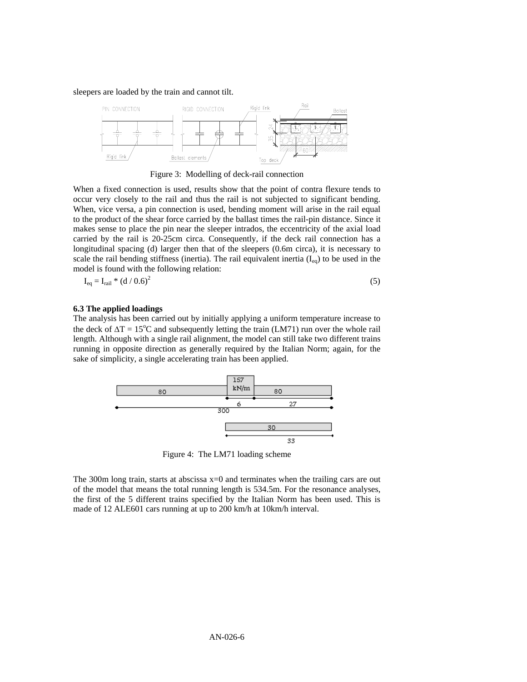sleepers are loaded by the train and cannot tilt.



Figure 3: Modelling of deck-rail connection

When a fixed connection is used, results show that the point of contra flexure tends to occur very closely to the rail and thus the rail is not subjected to significant bending. When, vice versa, a pin connection is used, bending moment will arise in the rail equal to the product of the shear force carried by the ballast times the rail-pin distance. Since it makes sense to place the pin near the sleeper intrados, the eccentricity of the axial load carried by the rail is 20-25cm circa. Consequently, if the deck rail connection has a longitudinal spacing (d) larger then that of the sleepers (0.6m circa), it is necessary to scale the rail bending stiffness (inertia). The rail equivalent inertia  $(I_{eq})$  to be used in the model is found with the following relation:

$$
I_{eq} = I_{\text{real}} * (d / 0.6)^2 \tag{5}
$$

#### **6.3 The applied loadings**

The analysis has been carried out by initially applying a uniform temperature increase to the deck of  $\Delta T = 15^{\circ}\text{C}$  and subsequently letting the train (LM71) run over the whole rail length. Although with a single rail alignment, the model can still take two different trains running in opposite direction as generally required by the Italian Norm; again, for the sake of simplicity, a single accelerating train has been applied.



Figure 4: The LM71 loading scheme

The 300m long train, starts at abscissa  $x=0$  and terminates when the trailing cars are out of the model that means the total running length is 534.5m. For the resonance analyses, the first of the 5 different trains specified by the Italian Norm has been used. This is made of 12 ALE601 cars running at up to 200 km/h at 10km/h interval.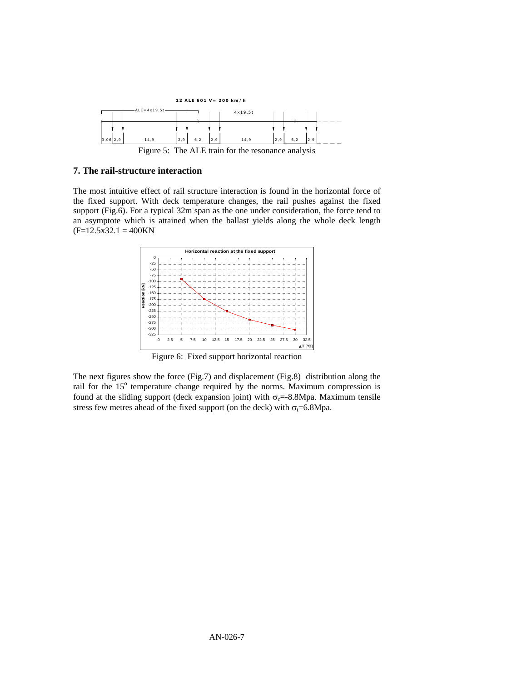

#### **7. The rail-structure interaction**

The most intuitive effect of rail structure interaction is found in the horizontal force of the fixed support. With deck temperature changes, the rail pushes against the fixed support (Fig.6). For a typical 32m span as the one under consideration, the force tend to an asymptote which is attained when the ballast yields along the whole deck length  $(F=12.5x32.1) = 400KN$ 



Figure 6: Fixed support horizontal reaction

The next figures show the force (Fig.7) and displacement (Fig.8) distribution along the rail for the 15° temperature change required by the norms. Maximum compression is found at the sliding support (deck expansion joint) with  $\sigma_c$ =-8.8Mpa. Maximum tensile stress few metres ahead of the fixed support (on the deck) with  $\sigma_t$ =6.8Mpa.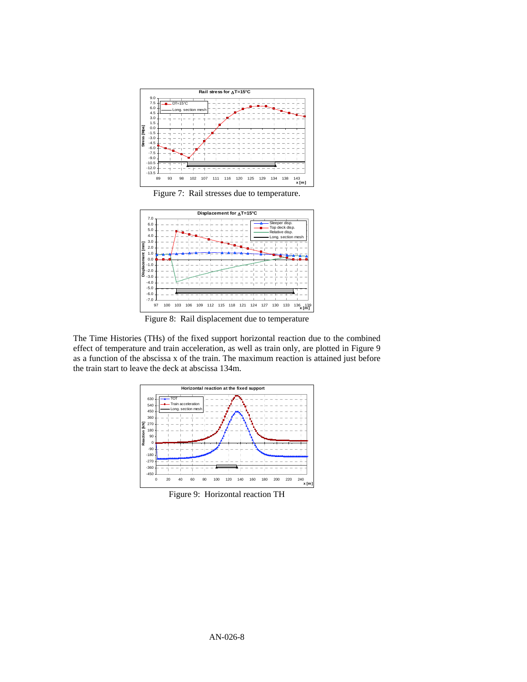

Figure 7: Rail stresses due to temperature.



Figure 8: Rail displacement due to temperature

The Time Histories (THs) of the fixed support horizontal reaction due to the combined effect of temperature and train acceleration, as well as train only, are plotted in Figure 9 as a function of the abscissa x of the train. The maximum reaction is attained just before the train start to leave the deck at abscissa 134m.



Figure 9: Horizontal reaction TH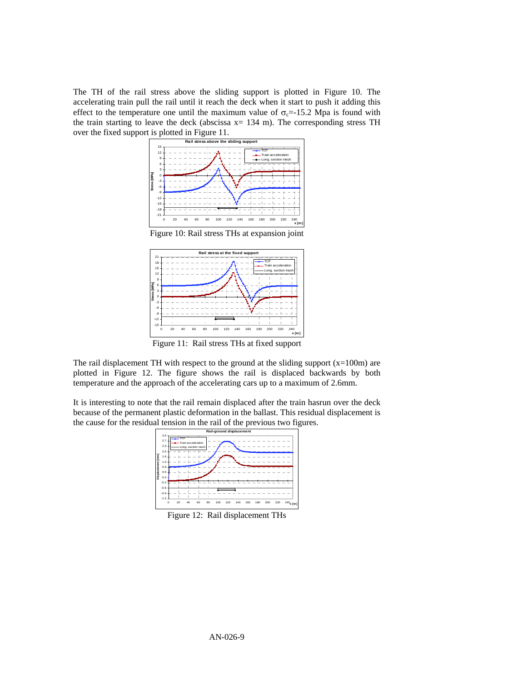The TH of the rail stress above the sliding support is plotted in Figure 10. The accelerating train pull the rail until it reach the deck when it start to push it adding this effect to the temperature one until the maximum value of  $\sigma_c$ =-15.2 Mpa is found with the train starting to leave the deck (abscissa  $x = 134$  m). The corresponding stress TH over the fixed support is plotted in Figure 11.



Figure 10: Rail stress THs at expansion joint



Figure 11: Rail stress THs at fixed support

The rail displacement TH with respect to the ground at the sliding support  $(x=100m)$  are plotted in Figure 12. The figure shows the rail is displaced backwards by both temperature and the approach of the accelerating cars up to a maximum of 2.6mm.

It is interesting to note that the rail remain displaced after the train hasrun over the deck because of the permanent plastic deformation in the ballast. This residual displacement is the cause for the residual tension in the rail of the previous two figures.



Figure 12: Rail displacement THs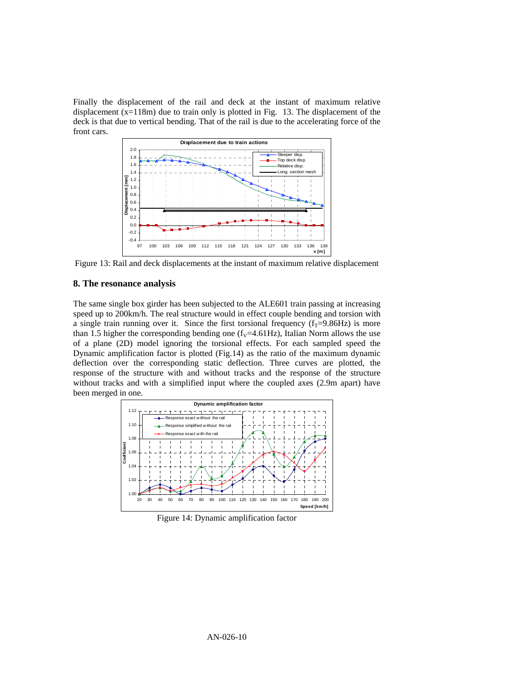Finally the displacement of the rail and deck at the instant of maximum relative displacement (x=118m) due to train only is plotted in Fig. 13. The displacement of the deck is that due to vertical bending. That of the rail is due to the accelerating force of the front cars.



Figure 13: Rail and deck displacements at the instant of maximum relative displacement

#### **8. The resonance analysis**

The same single box girder has been subjected to the ALE601 train passing at increasing speed up to 200km/h. The real structure would in effect couple bending and torsion with a single train running over it. Since the first torsional frequency  $(f_T=9.86Hz)$  is more than 1.5 higher the corresponding bending one  $(f<sub>V</sub>=4.61Hz)$ , Italian Norm allows the use of a plane (2D) model ignoring the torsional effects. For each sampled speed the Dynamic amplification factor is plotted (Fig.14) as the ratio of the maximum dynamic deflection over the corresponding static deflection. Three curves are plotted, the response of the structure with and without tracks and the response of the structure without tracks and with a simplified input where the coupled axes (2.9m apart) have been merged in one.



Figure 14: Dynamic amplification factor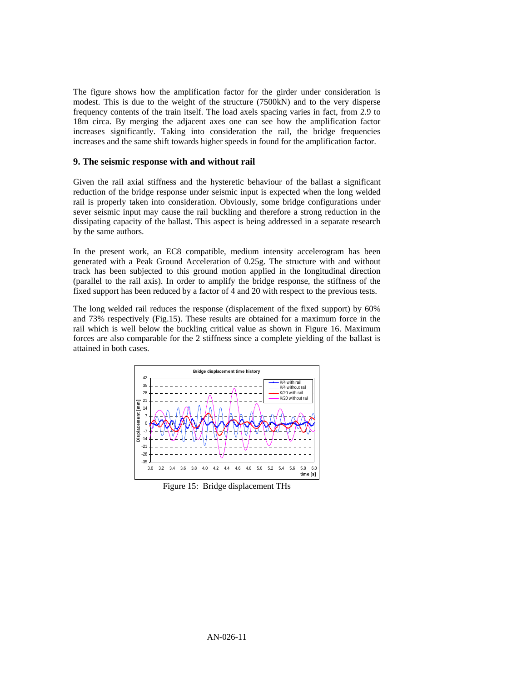The figure shows how the amplification factor for the girder under consideration is modest. This is due to the weight of the structure (7500kN) and to the very disperse frequency contents of the train itself. The load axels spacing varies in fact, from 2.9 to 18m circa. By merging the adjacent axes one can see how the amplification factor increases significantly. Taking into consideration the rail, the bridge frequencies increases and the same shift towards higher speeds in found for the amplification factor.

#### **9. The seismic response with and without rail**

Given the rail axial stiffness and the hysteretic behaviour of the ballast a significant reduction of the bridge response under seismic input is expected when the long welded rail is properly taken into consideration. Obviously, some bridge configurations under sever seismic input may cause the rail buckling and therefore a strong reduction in the dissipating capacity of the ballast. This aspect is being addressed in a separate research by the same authors.

In the present work, an EC8 compatible, medium intensity accelerogram has been generated with a Peak Ground Acceleration of 0.25g. The structure with and without track has been subjected to this ground motion applied in the longitudinal direction (parallel to the rail axis). In order to amplify the bridge response, the stiffness of the fixed support has been reduced by a factor of 4 and 20 with respect to the previous tests.

The long welded rail reduces the response (displacement of the fixed support) by 60% and 73% respectively (Fig.15). These results are obtained for a maximum force in the rail which is well below the buckling critical value as shown in Figure 16. Maximum forces are also comparable for the 2 stiffness since a complete yielding of the ballast is attained in both cases.



Figure 15: Bridge displacement THs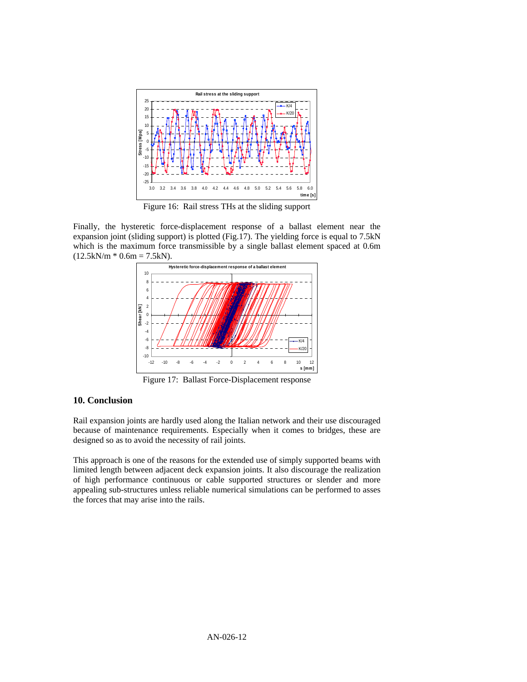

Figure 16: Rail stress THs at the sliding support

Finally, the hysteretic force-displacement response of a ballast element near the expansion joint (sliding support) is plotted (Fig.17). The yielding force is equal to 7.5kN which is the maximum force transmissible by a single ballast element spaced at 0.6m  $(12.5kN/m * 0.6m = 7.5kN).$ 



Figure 17: Ballast Force-Displacement response

## **10. Conclusion**

Rail expansion joints are hardly used along the Italian network and their use discouraged because of maintenance requirements. Especially when it comes to bridges, these are designed so as to avoid the necessity of rail joints.

This approach is one of the reasons for the extended use of simply supported beams with limited length between adjacent deck expansion joints. It also discourage the realization of high performance continuous or cable supported structures or slender and more appealing sub-structures unless reliable numerical simulations can be performed to asses the forces that may arise into the rails.